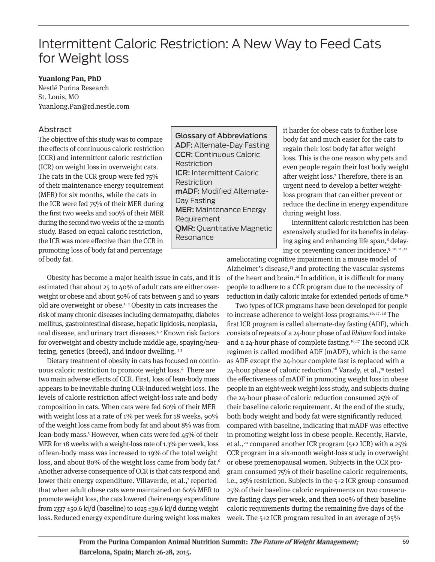# Intermittent Caloric Restriction: A New Way to Feed Cats for Weight loss

## **Yuanlong Pan, PhD**

Nestlé Purina Research St. Louis, MO Yuanlong.Pan@rd.nestle.com

# Abstract

The objective of this study was to compare the effects of continuous caloric restriction (CCR) and intermittent caloric restriction (ICR) on weight loss in overweight cats. The cats in the CCR group were fed 75% of their maintenance energy requirement (MER) for six months, while the cats in the ICR were fed 75% of their MER during the first two weeks and 100% of their MER during the second two weeks of the 12-month study. Based on equal caloric restriction, the ICR was more effective than the CCR in promoting loss of body fat and percentage of body fat.

Glossary of Abbreviations ADF: Alternate-Day Fasting CCR: Continuous Caloric Restriction ICR: Intermittent Caloric Restriction mADF: Modified Alternate-Day Fasting MER: Maintenance Energy Requirement QMR: Quantitative Magnetic Resonance

it harder for obese cats to further lose body fat and much easier for the cats to regain their lost body fat after weight loss. This is the one reason why pets and even people regain their lost body weight after weight loss.7 Therefore, there is an urgent need to develop a better weightloss program that can either prevent or reduce the decline in energy expenditure during weight loss.

Intermittent caloric restriction has been extensively studied for its benefits in delaying aging and enhancing life span,<sup>8</sup> delaying or preventing cancer incidence,9, 10, 11, 12

Obesity has become a major health issue in cats, and it is estimated that about 25 to 40% of adult cats are either overweight or obese and about 50% of cats between 5 and 10 years old are overweight or obese.1, 2 Obesity in cats increases the risk of many chronic diseases including dermatopathy, diabetes mellitus, gastrointestinal disease, hepatic lipidosis, neoplasia, oral disease, and urinary tract diseases.1, 2 Known risk factors for overweight and obesity include middle age, spaying/neutering, genetics (breed), and indoor dwelling. <sup>2,3</sup>

Dietary treatment of obesity in cats has focused on continuous caloric restriction to promote weight loss.4 There are two main adverse effects of CCR. First, loss of lean-body mass appears to be inevitable during CCR-induced weight loss. The levels of calorie restriction affect weight-loss rate and body composition in cats. When cats were fed 60% of their MER with weight loss at a rate of 1% per week for 18 weeks, 90% of the weight loss came from body fat and about 8% was from lean-body mass.<sup>5</sup> However, when cats were fed 45% of their MER for 18 weeks with a weight-loss rate of 1.3% per week, loss of lean-body mass was increased to 19% of the total weight loss, and about 80% of the weight loss came from body fat.<sup>6</sup> Another adverse consequence of CCR is that cats respond and lower their energy expenditure. Villaverde, et al.,7 reported that when adult obese cats were maintained on 60% MER to promote weight loss, the cats lowered their energy expenditure from 1337  $\pm$ 50.6 kj/d (baseline) to 1025  $\pm$ 39.6 kj/d during weight loss. Reduced energy expenditure during weight loss makes

ameliorating cognitive impairment in a mouse model of Alzheimer's disease, $13$  and protecting the vascular systems of the heart and brain.14 In addition, it is difficult for many people to adhere to a CCR program due to the necessity of reduction in daily caloric intake for extended periods of time.15

Two types of ICR programs have been developed for people to increase adherence to weight-loss programs.<sup>16, 17, 18</sup> The first ICR program is called alternate-day fasting (ADF), which consists of repeats of a 24-hour phase of ad libitum food intake and a 24-hour phase of complete fasting.<sup>16,17</sup> The second ICR regimen is called modified ADF (mADF), which is the same as ADF except the 24-hour complete fast is replaced with a 24-hour phase of caloric reduction.<sup>18</sup> Varady, et al.,<sup>19</sup> tested the effectiveness of mADF in promoting weight loss in obese people in an eight-week weight-loss study, and subjects during the 24-hour phase of caloric reduction consumed 25% of their baseline caloric requirement. At the end of the study, both body weight and body fat were significantly reduced compared with baseline, indicating that mADF was effective in promoting weight loss in obese people. Recently, Harvie, et al.,<sup>20</sup> compared another ICR program (5+2 ICR) with a 25% CCR program in a six-month weight-loss study in overweight or obese premenopausal women. Subjects in the CCR program consumed 75% of their baseline caloric requirements, i.e., 25% restriction. Subjects in the 5+2 ICR group consumed 25% of their baseline caloric requirements on two consecutive fasting days per week, and then 100% of their baseline caloric requirements during the remaining five days of the week. The 5+2 ICR program resulted in an average of 25%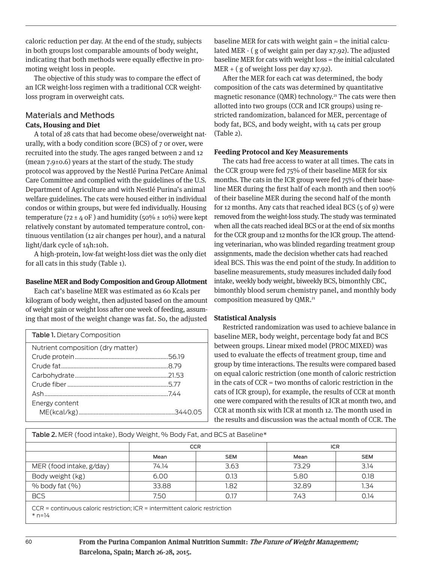caloric reduction per day. At the end of the study, subjects in both groups lost comparable amounts of body weight, indicating that both methods were equally effective in promoting weight loss in people.

The objective of this study was to compare the effect of an ICR weight-loss regimen with a traditional CCR weightloss program in overweight cats.

## Materials and Methods **Cats, Housing and Diet**

A total of 28 cats that had become obese/overweight naturally, with a body condition score (BCS) of 7 or over, were recruited into the study. The ages ranged between 2 and 12 (mean 7.9±0.6) years at the start of the study. The study protocol was approved by the Nestlé Purina PetCare Animal Care Committee and complied with the guidelines of the U.S. Department of Agriculture and with Nestlé Purina's animal welfare guidelines. The cats were housed either in individual condos or within groups, but were fed individually. Housing temperature ( $72 \pm 4$  oF) and humidity ( $50\% \pm 10\%$ ) were kept relatively constant by automated temperature control, continuous ventilation (12 air changes per hour), and a natural light/dark cycle of 14h:10h.

A high-protein, low-fat weight-loss diet was the only diet for all cats in this study (Table 1).

#### **Baseline MER and Body Composition and Group Allotment**

Each cat's baseline MER was estimated as 60 Kcals per kilogram of body weight, then adjusted based on the amount of weight gain or weight loss after one week of feeding, assuming that most of the weight change was fat. So, the adjusted

| <b>Table 1. Dietary Composition</b> |  |
|-------------------------------------|--|
| Nutrient composition (dry matter)   |  |
|                                     |  |
|                                     |  |
|                                     |  |
|                                     |  |
|                                     |  |
| Energy content                      |  |
|                                     |  |

baseline MER for cats with weight gain = the initial calculated MER - ( g of weight gain per day x7.92). The adjusted baseline MER for cats with weight loss = the initial calculated  $MER + (g \circ f \text{ weight loss per day x7.92}).$ 

After the MER for each cat was determined, the body composition of the cats was determined by quantitative magnetic resonance (QMR) technology.<sup>21</sup> The cats were then allotted into two groups (CCR and ICR groups) using restricted randomization, balanced for MER, percentage of body fat, BCS, and body weight, with 14 cats per group (Table 2).

#### **Feeding Protocol and Key Measurements**

The cats had free access to water at all times. The cats in the CCR group were fed 75% of their baseline MER for six months. The cats in the ICR group were fed 75% of their baseline MER during the first half of each month and then 100% of their baseline MER during the second half of the month for 12 months. Any cats that reached ideal BCS (5 of 9) were removed from the weight-loss study. The study was terminated when all the cats reached ideal BCS or at the end of six months for the CCR group and 12 months for the ICR group. The attending veterinarian, who was blinded regarding treatment group assignments, made the decision whether cats had reached ideal BCS. This was the end point of the study. In addition to baseline measurements, study measures included daily food intake, weekly body weight, biweekly BCS, bimonthly CBC, bimonthly blood serum chemistry panel, and monthly body composition measured by QMR.<sup>21</sup>

### **Statistical Analysis**

Restricted randomization was used to achieve balance in baseline MER, body weight, percentage body fat and BCS between groups. Linear mixed model (PROC MIXED) was used to evaluate the effects of treatment group, time and group by time interactions. The results were compared based on equal caloric restriction (one month of caloric restriction in the cats of CCR = two months of caloric restriction in the cats of ICR group), for example, the results of CCR at month one were compared with the results of ICR at month two, and CCR at month six with ICR at month 12. The month used in the results and discussion was the actual month of CCR. The

| Table 2. MER (food intake), Body Weight, % Body Fat, and BCS at Baseline* |  |  |  |
|---------------------------------------------------------------------------|--|--|--|
|                                                                           |  |  |  |

|                          | <b>CCR</b> |            | <b>ICR</b> |            |
|--------------------------|------------|------------|------------|------------|
|                          | Mean       | <b>SEM</b> | Mean       | <b>SEM</b> |
| MER (food intake, g/day) | 74.14      | 3.63       | 73.29      | 3.14       |
| Body weight (kg)         | 6.00       | 0.13       | 5.80       | 0.18       |
| $%$ body fat $(%$        | 33.88      | 1.82       | 32.89      | 34،،       |
| <b>BCS</b>               | 7.50       | 0.17       | 7.43       | 0.14       |

CCR = continuous caloric restriction; ICR = intermittent caloric restriction  $*$  n=14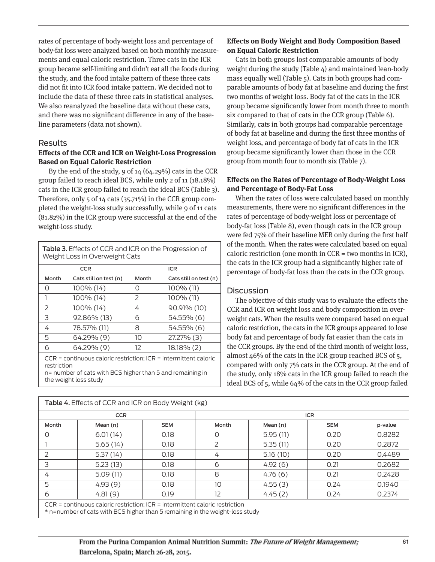rates of percentage of body-weight loss and percentage of body-fat loss were analyzed based on both monthly measurements and equal caloric restriction. Three cats in the ICR group became self-limiting and didn't eat all the foods during the study, and the food intake pattern of these three cats did not fit into ICR food intake pattern. We decided not to include the data of these three cats in statistical analyses. We also reanalyzed the baseline data without these cats, and there was no significant difference in any of the baseline parameters (data not shown).

#### Results

#### **Effects of the CCR and ICR on Weight-Loss Progression Based on Equal Caloric Restriction**

By the end of the study, 9 of 14 (64.29%) cats in the CCR group failed to reach ideal BCS, while only 2 of 11 (18.18%) cats in the ICR group failed to reach the ideal BCS (Table 3). Therefore, only 5 of 14 cats (35.71%) in the CCR group completed the weight-loss study successfully, while 9 of 11 cats (81.82%) in the ICR group were successful at the end of the weight-loss study.

|             | <b>Table 3.</b> Effects of CCR and ICR on the Progression of<br>Weight Loss in Overweight Cats                                                           |       |                        |
|-------------|----------------------------------------------------------------------------------------------------------------------------------------------------------|-------|------------------------|
|             | <b>CCR</b>                                                                                                                                               |       | <b>ICR</b>             |
| Month       | Cats still on test (n)                                                                                                                                   | Month | Cats still on test (n) |
| Ω           | 100% (14)                                                                                                                                                | Ω     | $100\%$ (11)           |
| 1           | 100% (14)                                                                                                                                                | 2     | 100% (11)              |
| 2           | 100% (14)                                                                                                                                                | 4     | 90.91% (10)            |
| 3           | 92.86% (13)                                                                                                                                              | 6     | 54.55% (6)             |
| 4           | 78.57% (11)                                                                                                                                              | 8     | 54.55% (6)             |
| 5           | 64.29% (9)                                                                                                                                               | 10    | 27.27% (3)             |
| б           | 64.29% (9)                                                                                                                                               | 12    | $18.18\%$ (2)          |
| restriction | $CCR = continuous caloric restriction; ICR = intermittent caloric$<br>n= number of cats with BCS higher than 5 and remaining in<br>the weight loss study |       |                        |

## **Effects on Body Weight and Body Composition Based on Equal Caloric Restriction**

Cats in both groups lost comparable amounts of body weight during the study (Table 4) and maintained lean-body mass equally well (Table 5). Cats in both groups had comparable amounts of body fat at baseline and during the first two months of weight loss. Body fat of the cats in the ICR group became significantly lower from month three to month six compared to that of cats in the CCR group (Table 6). Similarly, cats in both groups had comparable percentage of body fat at baseline and during the first three months of weight loss, and percentage of body fat of cats in the ICR group became significantly lower than those in the CCR group from month four to month six (Table 7).

## **Effects on the Rates of Percentage of Body-Weight Loss and Percentage of Body-Fat Loss**

When the rates of loss were calculated based on monthly measurements, there were no significant differences in the rates of percentage of body-weight loss or percentage of body-fat loss (Table 8), even though cats in the ICR group were fed 75% of their baseline MER only during the first half of the month. When the rates were calculated based on equal caloric restriction (one month in CCR = two months in ICR), the cats in the ICR group had a significantly higher rate of percentage of body-fat loss than the cats in the CCR group.

## **Discussion**

The objective of this study was to evaluate the effects the CCR and ICR on weight loss and body composition in overweight cats. When the results were compared based on equal caloric restriction, the cats in the ICR groups appeared to lose body fat and percentage of body fat easier than the cats in the CCR groups. By the end of the third month of weight loss, almost 46% of the cats in the ICR group reached BCS of 5, compared with only 7% cats in the CCR group. At the end of the study, only 18% cats in the ICR group failed to reach the ideal BCS of 5, while 64% of the cats in the CCR group failed

|       | <b>Table 4.</b> Effects of CCR and ICR on Body Weight (kg)                     |            |       |            |            |         |
|-------|--------------------------------------------------------------------------------|------------|-------|------------|------------|---------|
|       | <b>CCR</b>                                                                     |            |       | <b>ICR</b> |            |         |
| Month | Mean (n)                                                                       | <b>SEM</b> | Month | Mean (n)   | <b>SEM</b> | p-value |
|       | 6.01(14)                                                                       | 0.18       | 0     | 5.95(11)   | 0.20       | 0.8282  |
|       | 5.65(14)                                                                       | 0.18       | 2     | 5.35(11)   | 0.20       | 0.2872  |
|       | 5.37(14)                                                                       | 0.18       | 4     | 5.16(10)   | 0.20       | 0.4489  |
| 3     | 5.23(13)                                                                       | 0.18       | 6     | 4.92(6)    | 0.21       | 0.2682  |
| 4     | 5.09(11)                                                                       | 0.18       | 8     | 4.76(6)    | 0.21       | 0.2428  |
| 5     | 4.93(9)                                                                        | 0.18       | 10    | 4.55(3)    | 0.24       | 0.1940  |
| 6     | 4.81(9)                                                                        | 0.19       | 12    | 4.45(2)    | 0.24       | 0.2374  |
|       | $CCR =$ continuous caloric restriction; ICR = intermittent caloric restriction |            |       |            |            |         |

\* n=number of cats with BCS higher than 5 remaining in the weight-loss study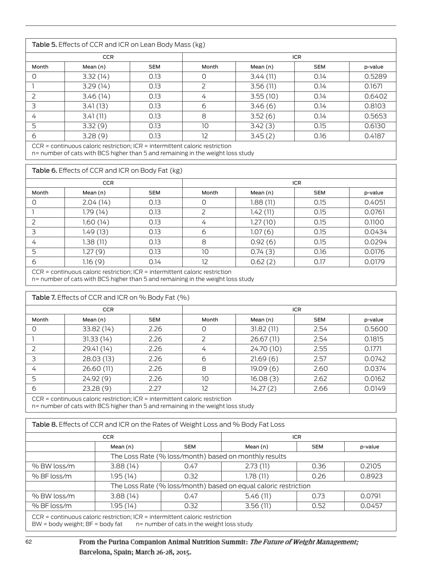| Table 5. Effects of CCR and ICR on Lean Body Mass (kg) |            |            |            |          |            |         |
|--------------------------------------------------------|------------|------------|------------|----------|------------|---------|
|                                                        | <b>CCR</b> |            | <b>ICR</b> |          |            |         |
| Month                                                  | Mean (n)   | <b>SEM</b> | Month      | Mean (n) | <b>SEM</b> | p-value |
| O                                                      | 3.32(14)   | 0.13       | 0          | 3.44(11) | 0.14       | 0.5289  |
|                                                        | 3.29(14)   | 0.13       | 2          | 3.56(11) | 0.14       | 0.1671  |
|                                                        | 3.46(14)   | 0.13       | 4          | 3.55(10) | 0.14       | 0.6402  |
| 3                                                      | 3.41(13)   | 0.13       | 6          | 3.46(6)  | 0.14       | 0.8103  |
| 4                                                      | 3.41(11)   | 0.13       | 8          | 3.52(6)  | 0.14       | 0.5653  |
| 5                                                      | 3.32(9)    | 0.13       | 10         | 3.42(3)  | 0.15       | 0.6130  |
| 6                                                      | 3.28(9)    | 0.13       | 12         | 3.45(2)  | 0.16       | 0.4187  |
|                                                        |            |            |            |          |            |         |

CCR = continuous caloric restriction; ICR = intermittent caloric restriction

n= number of cats with BCS higher than 5 and remaining in the weight loss study

| Table 6. Effects of CCR and ICR on Body Fat (kg) |           |            |       |          |            |         |
|--------------------------------------------------|-----------|------------|-------|----------|------------|---------|
| <b>CCR</b>                                       |           |            |       |          | <b>ICR</b> |         |
| Month                                            | Mean (n)  | <b>SEM</b> | Month | Mean (n) | <b>SEM</b> | p-value |
| 0                                                | 2.04(14)  | 0.13       | 0     | 1.88(11) | 0.15       | 0.4051  |
|                                                  | 1.79 (14) | 0.13       | 2     | 1.42(11) | 0.15       | 0.0761  |
|                                                  | 1.60 (14) | 0.13       | 4     | 1.27(10) | 0.15       | 0.1100  |
| 3                                                | 1.49 (13) | 0.13       | 6     | 1.07(6)  | 0.15       | 0.0434  |
| 4                                                | 1.38 (11) | 0.13       | 8     | 0.92(6)  | 0.15       | 0.0294  |
| 5                                                | 1.27(9)   | 0.13       | 10    | 0.74(3)  | 0.16       | 0.0176  |
| 6                                                | 1.16(9)   | 0.14       | 12    | 0.62(2)  | 0.17       | 0.0179  |
|                                                  |           |            |       |          |            |         |

CCR = continuous caloric restriction; ICR = intermittent caloric restriction

n= number of cats with BCS higher than 5 and remaining in the weight loss study

|               | Table 7. Effects of CCR and ICR on % Body Fat (%)                              |            |            |            |            |         |
|---------------|--------------------------------------------------------------------------------|------------|------------|------------|------------|---------|
| <b>CCR</b>    |                                                                                |            | <b>ICR</b> |            |            |         |
| Month         | Mean (n)                                                                       | <b>SEM</b> | Month      | Mean (n)   | <b>SEM</b> | p-value |
|               | 33.82 (14)                                                                     | 2.26       | O          | 31.82(11)  | 2.54       | 0.5600  |
|               | 31.33(14)                                                                      | 2.26       | 2          | 26.67 (11) | 2.54       | 0.1815  |
| $\mathcal{L}$ | 29.41 (14)                                                                     | 2.26       | 4          | 24.70 (10) | 2.55       | 0.1771  |
| 3             | 28.03 (13)                                                                     | 2.26       | 6          | 21.69(6)   | 2.57       | 0.0742  |
| 4             | 26.60 (11)                                                                     | 2.26       | 8          | 19.09(6)   | 2.60       | 0.0374  |
| 5             | 24.92 (9)                                                                      | 2.26       | 10         | 16.08 (3)  | 2.62       | 0.0162  |
| 6             | 23.28(9)                                                                       | 2.27       | 12         | 14.27(2)   | 2.66       | 0.0149  |
|               | $CCR = continuous caloric restriction: ICR = intermittent caloric restriction$ |            |            |            |            |         |

n= number of cats with BCS higher than 5 and remaining in the weight loss study

| <b>CCR</b>    |                                                       |            |                                                                 | <b>ICR</b> |         |  |  |
|---------------|-------------------------------------------------------|------------|-----------------------------------------------------------------|------------|---------|--|--|
|               | Mean (n)                                              | <b>SEM</b> | Mean (n)                                                        | <b>SEM</b> | p-value |  |  |
|               | The Loss Rate (% loss/month) based on monthly results |            |                                                                 |            |         |  |  |
| % BW loss/m   | 3.88(14)                                              | 0.47       | 2.73(11)                                                        | 0.36       | 0.2105  |  |  |
| $%$ BF loss/m | 1.95(14)                                              | 0.32       | 1.78 (11)                                                       | 0.26       | 0.8923  |  |  |
|               |                                                       |            | The Loss Rate (% loss/month) based on equal caloric restriction |            |         |  |  |
| % BW loss/m   | 3.88(14)                                              | 0.47       | 5.46(11)                                                        | 0.73       | 0.0791  |  |  |
| $%$ BF loss/m | 1.95(14)                                              | 0.32       | 3.56(11)                                                        | 0.52       | 0.0457  |  |  |

BW = body weight;  $BF = body$  fat n= number of cats in the weight loss study

## From the Purina Companion Animal Nutrition Summit: The Future of Weight Management; Barcelona, Spain; March 26-28, 2015.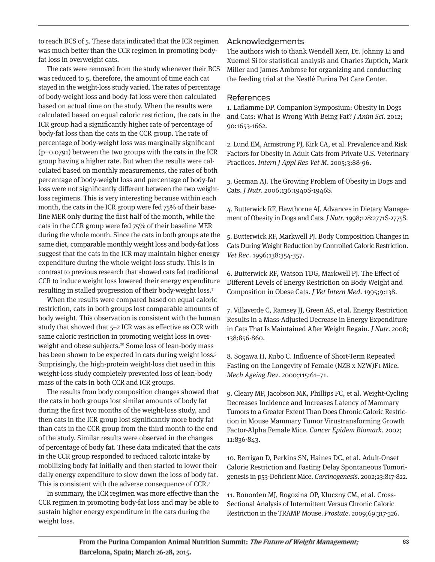to reach BCS of 5. These data indicated that the ICR regimen was much better than the CCR regimen in promoting bodyfat loss in overweight cats.

The cats were removed from the study whenever their BCS was reduced to 5, therefore, the amount of time each cat stayed in the weight-loss study varied. The rates of percentage of body-weight loss and body-fat loss were then calculated based on actual time on the study. When the results were calculated based on equal caloric restriction, the cats in the ICR group had a significantly higher rate of percentage of body-fat loss than the cats in the CCR group. The rate of percentage of body-weight loss was marginally significant (p=0.0791) between the two groups with the cats in the ICR group having a higher rate. But when the results were calculated based on monthly measurements, the rates of both percentage of body-weight loss and percentage of body-fat loss were not significantly different between the two weightloss regimens. This is very interesting because within each month, the cats in the ICR group were fed 75% of their baseline MER only during the first half of the month, while the cats in the CCR group were fed 75% of their baseline MER during the whole month. Since the cats in both groups ate the same diet, comparable monthly weight loss and body-fat loss suggest that the cats in the ICR may maintain higher energy expenditure during the whole weight-loss study. This is in contrast to previous research that showed cats fed traditional CCR to induce weight loss lowered their energy expenditure resulting in stalled progression of their body-weight loss.7

When the results were compared based on equal caloric restriction, cats in both groups lost comparable amounts of body weight. This observation is consistent with the human study that showed that 5+2 ICR was as effective as CCR with same caloric restriction in promoting weight loss in overweight and obese subjects.<sup>20</sup> Some loss of lean-body mass has been shown to be expected in cats during weight loss.<sup>5</sup> Surprisingly, the high-protein weight-loss diet used in this weight-loss study completely prevented loss of lean-body mass of the cats in both CCR and ICR groups.

The results from body composition changes showed that the cats in both groups lost similar amounts of body fat during the first two months of the weight-loss study, and then cats in the ICR group lost significantly more body fat than cats in the CCR group from the third month to the end of the study. Similar results were observed in the changes of percentage of body fat. These data indicated that the cats in the CCR group responded to reduced caloric intake by mobilizing body fat initially and then started to lower their daily energy expenditure to slow down the loss of body fat. This is consistent with the adverse consequence of CCR.7

In summary, the ICR regimen was more effective than the CCR regimen in promoting body-fat loss and may be able to sustain higher energy expenditure in the cats during the weight loss.

# Acknowledgements

The authors wish to thank Wendell Kerr, Dr. Johnny Li and Xuemei Si for statistical analysis and Charles Zuptich, Mark Miller and James Ambrose for organizing and conducting the feeding trial at the Nestlé Purina Pet Care Center.

## References

1. Laflamme DP. Companion Symposium: Obesity in Dogs and Cats: What Is Wrong With Being Fat? J Anim Sci. 2012; 90:1653-1662.

2. Lund EM, Armstrong PJ, Kirk CA, et al. Prevalence and Risk Factors for Obesity in Adult Cats from Private U.S. Veterinary Practices. Intern J Appl Res Vet M. 2005;3:88-96.

3. German AJ. The Growing Problem of Obesity in Dogs and Cats. J Nutr. 2006;136:1940S-1946S.

4. Butterwick RF, Hawthorne AJ. Advances in Dietary Management of Obesity in Dogs and Cats. J Nutr. 1998;128:2771S-2775S.

5. Butterwick RF, Markwell PJ. Body Composition Changes in Cats During Weight Reduction by Controlled Caloric Restriction. Vet Rec. 1996;138:354-357.

6. Butterwick RF, Watson TDG, Markwell PJ. The Effect of Different Levels of Energy Restriction on Body Weight and Composition in Obese Cats. J Vet Intern Med. 1995;9:138.

7. Villaverde C, Ramsey JJ, Green AS, et al. Energy Restriction Results in a Mass-Adjusted Decrease in Energy Expenditure in Cats That Is Maintained After Weight Regain. J Nutr. 2008; 138:856-860.

8. Sogawa H, Kubo C. Influence of Short-Term Repeated Fasting on the Longevity of Female (NZB x NZW)F1 Mice. Mech Ageing Dev. 2000;115:61–71.

9. Cleary MP, Jacobson MK, Phillips FC, et al. Weight-Cycling Decreases Incidence and Increases Latency of Mammary Tumors to a Greater Extent Than Does Chronic Caloric Restriction in Mouse Mammary Tumor Virustransforming Growth Factor-Alpha Female Mice. Cancer Epidem Biomark. 2002; 11:836-843.

10. Berrigan D, Perkins SN, Haines DC, et al. Adult-Onset Calorie Restriction and Fasting Delay Spontaneous Tumorigenesis in p53-Deficient Mice. Carcinogenesis. 2002;23:817-822.

11. Bonorden MJ, Rogozina OP, Kluczny CM, et al. Cross-Sectional Analysis of Intermittent Versus Chronic Caloric Restriction in the TRAMP Mouse. Prostate. 2009;69:317-326.